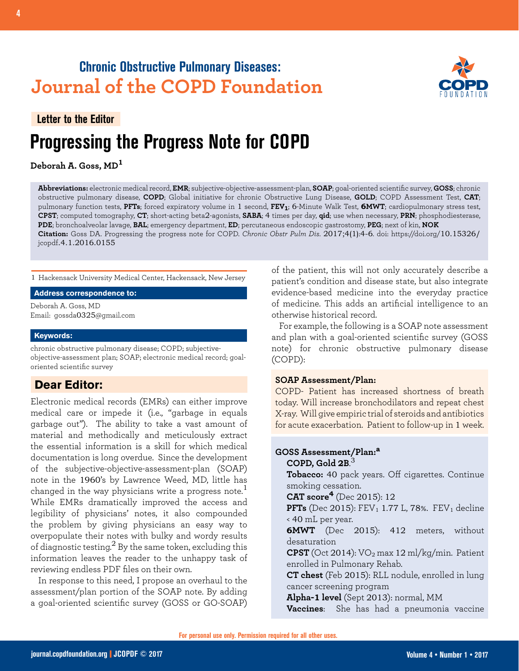# **Chronic Obstructive Pulmonary Diseases: Journal of the COPD Foundation**



# **Progressing the Progress Note for COPD Letter to the Editor**

**Deborah A. Goss, MD<sup>1</sup>**

**Abbreviations:** electronic medical record, **EMR**; subjective-objective-assessment-plan, **SOAP**; goal-oriented scientific survey, **GOSS**; chronic obstructive pulmonary disease, **COPD**; Global initiative for chronic Obstructive Lung Disease, **GOLD**; COPD Assessment Test, **CAT**; pulmonary function tests, PFTs; forced expiratory volume in 1 second, FEV<sub>1</sub>; 6-Minute Walk Test, **6MWT**; cardiopulmonary stress test, **CPST**; computed tomography, **CT**; short-acting beta2-agonists, **SABA**; 4 times per day, **qid**; use when necessary, **PRN**; phosphodiesterase, **PDE**; bronchoalveolar lavage, **BAL**; emergency department, **ED**; percutaneous endoscopic gastrostomy, **PEG**; next of kin, **NOK Citation:** Goss DA. Progressing the progress note for COPD. *Chronic Obstr Pulm Dis*. 2017;4(1):4-6. doi: https://doi.org/10.15326/ jcopdf.4.1.2016.0155

1 Hackensack University Medical Center, Hackensack, New Jersey

#### **Address correspondence to:**

Deborah A. Goss, MD Email: gossda0325@gmail.com

#### **Keywords:**

chronic obstructive pulmonary disease; COPD; subjectiveobjective-assessment plan; SOAP; electronic medical record; goaloriented scientific survey

# **Dear Editor:**

Electronic medical records (EMRs) can either improve medical care or impede it (i.e., "garbage in equals garbage out"). The ability to take a vast amount of material and methodically and meticulously extract the essential information is a skill for which medical documentation is long overdue. Since the development of the subjective-objective-assessment-plan (SOAP) note in the 1960's by Lawrence Weed, MD, little has changed in the way physicians write a progress note.<sup>1</sup> While EMRs dramatically improved the access and legibility of physicians' notes, it also compounded the problem by giving physicians an easy way to overpopulate their notes with bulky and wordy results of diagnostic testing.<sup>2</sup> By the same token, excluding this information leaves the reader to the unhappy task of reviewing endless PDF files on their own.

In response to this need, I propose an overhaul to the assessment/plan portion of the SOAP note. By adding a goal-oriented scientific survey (GOSS or GO-SOAP) of the patient, this will not only accurately describe a patient's condition and disease state, but also integrate evidence-based medicine into the everyday practice of medicine. This adds an artificial intelligence to an otherwise historical record.

For example, the following is a SOAP note assessment and plan with a goal-oriented scientific survey (GOSS note) for chronic obstructive pulmonary disease (COPD):

#### **SOAP Assessment/Plan:**

COPD- Patient has increased shortness of breath today. Will increase bronchodilators and repeat chest X-ray. Will give empiric trial of steroids and antibiotics for acute exacerbation. Patient to follow-up in 1 week.

## **GOSS Assessment/Plan:<sup>a</sup> COPD, Gold 2B**. 3

**Tobacco:** 40 pack years. Off cigarettes. Continue smoking cessation.

**CAT score4** (Dec 2015): 12

**PFTs** (Dec 2015): FEV<sub>1</sub> 1.77 L, 78%. FEV<sub>1</sub> decline < 40 mL per year.

**6MWT** (Dec 2015): 412 meters, without desaturation

**CPST** (Oct 2014): VO2 max 12 ml/kg/min. Patient enrolled in Pulmonary Rehab.

**CT chest** (Feb 2015): RLL nodule, enrolled in lung cancer screening program

**Alpha-1 level** (Sept 2013): normal, MM

**Vaccines**: She has had a pneumonia vaccine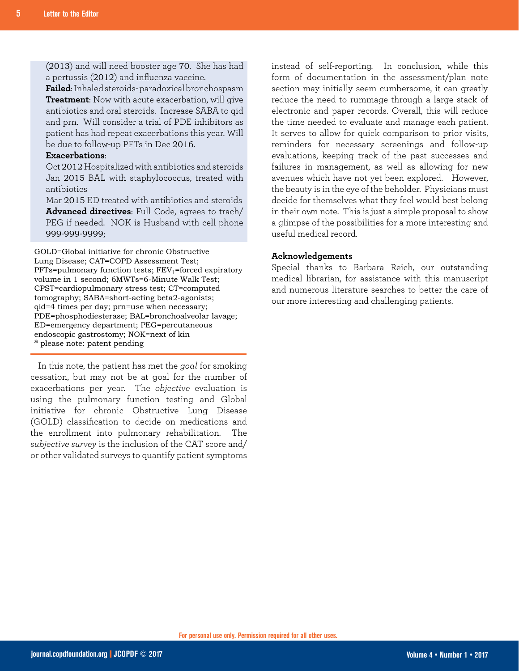(2013) and will need booster age 70. She has had a pertussis (2012) and influenza vaccine.

**Failed**: Inhaled steroids- paradoxical bronchospasm **Treatment**: Now with acute exacerbation, will give antibiotics and oral steroids. Increase SABA to qid and prn. Will consider a trial of PDE inhibitors as patient has had repeat exacerbations this year. Will be due to follow-up PFTs in Dec 2016.

### **Exacerbations**:

Oct 2012 Hospitalized with antibiotics and steroids Jan 2015 BAL with staphylococcus, treated with antibiotics

Mar 2015 ED treated with antibiotics and steroids **Advanced directives**: Full Code, agrees to trach/ PEG if needed. NOK is Husband with cell phone 999-999-9999;

GOLD=Global initiative for chronic Obstructive Lung Disease; CAT=COPD Assessment Test;  $PFTs=$ pulmonary function tests;  $FEV_1=$ forced expiratory volume in 1 second; 6MWTs=6-Minute Walk Test; CPST=cardiopulmonary stress test; CT=computed tomography; SABA=short-acting beta2-agonists; qid=4 times per day; prn=use when necessary; PDE=phosphodiesterase; BAL=bronchoalveolar lavage; ED=emergency department; PEG=percutaneous endoscopic gastrostomy; NOK=next of kin a please note: patent pending

In this note, the patient has met the *goal* for smoking cessation, but may not be at goal for the number of exacerbations per year. The *objective* evaluation is using the pulmonary function testing and Global initiative for chronic Obstructive Lung Disease (GOLD) classification to decide on medications and the enrollment into pulmonary rehabilitation. The *subjective survey* is the inclusion of the CAT score and/ or other validated surveys to quantify patient symptoms instead of self-reporting. In conclusion, while this form of documentation in the assessment/plan note section may initially seem cumbersome, it can greatly reduce the need to rummage through a large stack of electronic and paper records. Overall, this will reduce the time needed to evaluate and manage each patient. It serves to allow for quick comparison to prior visits, reminders for necessary screenings and follow-up evaluations, keeping track of the past successes and failures in management, as well as allowing for new avenues which have not yet been explored. However, the beauty is in the eye of the beholder. Physicians must decide for themselves what they feel would best belong in their own note. This is just a simple proposal to show a glimpse of the possibilities for a more interesting and useful medical record.

### **Acknowledgements**

Special thanks to Barbara Reich, our outstanding medical librarian, for assistance with this manuscript and numerous literature searches to better the care of our more interesting and challenging patients.